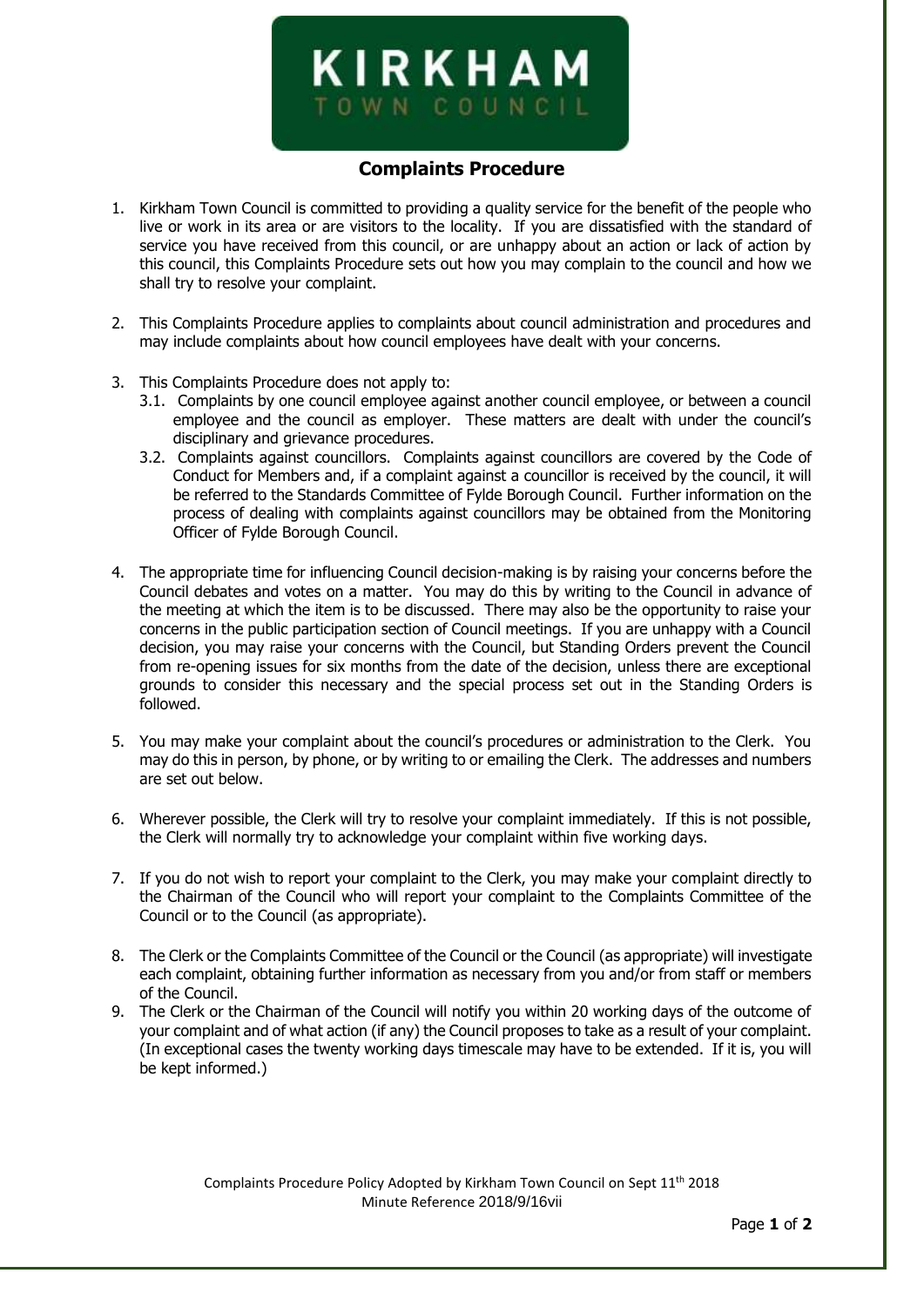

## **Complaints Procedure**

- 1. Kirkham Town Council is committed to providing a quality service for the benefit of the people who live or work in its area or are visitors to the locality. If you are dissatisfied with the standard of service you have received from this council, or are unhappy about an action or lack of action by this council, this Complaints Procedure sets out how you may complain to the council and how we shall try to resolve your complaint.
- 2. This Complaints Procedure applies to complaints about council administration and procedures and may include complaints about how council employees have dealt with your concerns.
- 3. This Complaints Procedure does not apply to:
	- 3.1. Complaints by one council employee against another council employee, or between a council employee and the council as employer. These matters are dealt with under the council's disciplinary and grievance procedures.
	- 3.2. Complaints against councillors. Complaints against councillors are covered by the Code of Conduct for Members and, if a complaint against a councillor is received by the council, it will be referred to the Standards Committee of Fylde Borough Council. Further information on the process of dealing with complaints against councillors may be obtained from the Monitoring Officer of Fylde Borough Council.
- 4. The appropriate time for influencing Council decision-making is by raising your concerns before the Council debates and votes on a matter. You may do this by writing to the Council in advance of the meeting at which the item is to be discussed. There may also be the opportunity to raise your concerns in the public participation section of Council meetings. If you are unhappy with a Council decision, you may raise your concerns with the Council, but Standing Orders prevent the Council from re-opening issues for six months from the date of the decision, unless there are exceptional grounds to consider this necessary and the special process set out in the Standing Orders is followed.
- 5. You may make your complaint about the council's procedures or administration to the Clerk. You may do this in person, by phone, or by writing to or emailing the Clerk. The addresses and numbers are set out below.
- 6. Wherever possible, the Clerk will try to resolve your complaint immediately. If this is not possible, the Clerk will normally try to acknowledge your complaint within five working days.
- 7. If you do not wish to report your complaint to the Clerk, you may make your complaint directly to the Chairman of the Council who will report your complaint to the Complaints Committee of the Council or to the Council (as appropriate).
- 8. The Clerk or the Complaints Committee of the Council or the Council (as appropriate) will investigate each complaint, obtaining further information as necessary from you and/or from staff or members of the Council.
- 9. The Clerk or the Chairman of the Council will notify you within 20 working days of the outcome of your complaint and of what action (if any) the Council proposes to take as a result of your complaint. (In exceptional cases the twenty working days timescale may have to be extended. If it is, you will be kept informed.)